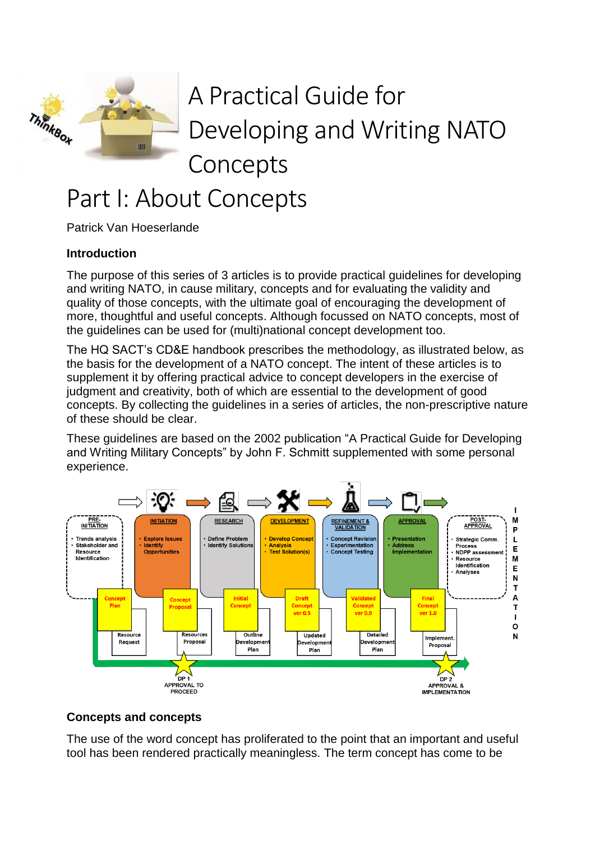

# A Practical Guide for Developing and Writing NATO Concepts

# Part I: About Concepts

Patrick Van Hoeserlande

### **Introduction**

The purpose of this series of 3 articles is to provide practical guidelines for developing and writing NATO, in cause military, concepts and for evaluating the validity and quality of those concepts, with the ultimate goal of encouraging the development of more, thoughtful and useful concepts. Although focussed on NATO concepts, most of the guidelines can be used for (multi)national concept development too.

The HQ SACT's CD&E handbook prescribes the methodology, as illustrated below, as the basis for the development of a NATO concept. The intent of these articles is to supplement it by offering practical advice to concept developers in the exercise of judgment and creativity, both of which are essential to the development of good concepts. By collecting the guidelines in a series of articles, the non-prescriptive nature of these should be clear.

These guidelines are based on the 2002 publication "A Practical Guide for Developing and Writing Military Concepts" by John F. Schmitt supplemented with some personal experience.



### **Concepts and concepts**

The use of the word concept has proliferated to the point that an important and useful tool has been rendered practically meaningless. The term concept has come to be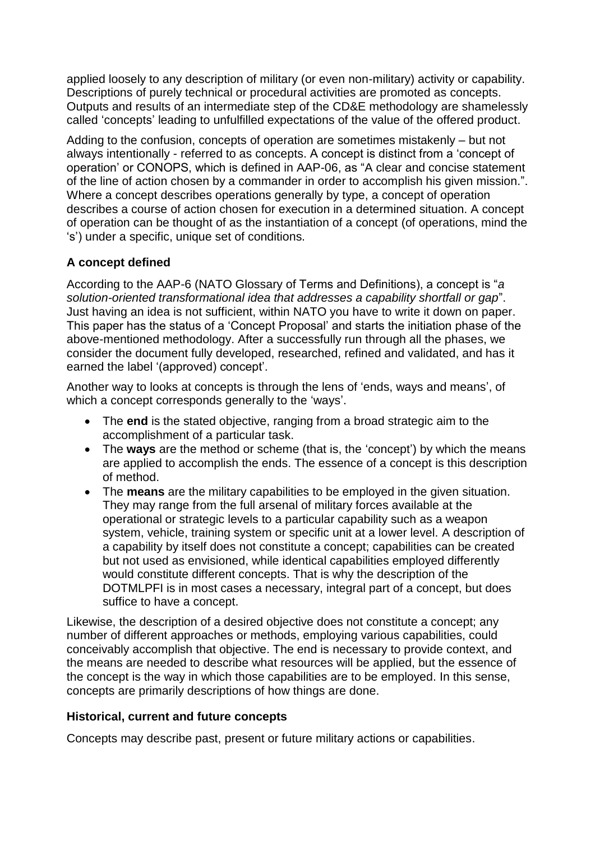applied loosely to any description of military (or even non-military) activity or capability. Descriptions of purely technical or procedural activities are promoted as concepts. Outputs and results of an intermediate step of the CD&E methodology are shamelessly called 'concepts' leading to unfulfilled expectations of the value of the offered product.

Adding to the confusion, concepts of operation are sometimes mistakenly – but not always intentionally - referred to as concepts. A concept is distinct from a 'concept of operation' or CONOPS, which is defined in AAP-06, as "A clear and concise statement of the line of action chosen by a commander in order to accomplish his given mission.". Where a concept describes operations generally by type, a concept of operation describes a course of action chosen for execution in a determined situation. A concept of operation can be thought of as the instantiation of a concept (of operations, mind the 's') under a specific, unique set of conditions.

## **A concept defined**

According to the AAP-6 (NATO Glossary of Terms and Definitions), a concept is "*a solution-oriented transformational idea that addresses a capability shortfall or gap*". Just having an idea is not sufficient, within NATO you have to write it down on paper. This paper has the status of a 'Concept Proposal' and starts the initiation phase of the above-mentioned methodology. After a successfully run through all the phases, we consider the document fully developed, researched, refined and validated, and has it earned the label '(approved) concept'.

Another way to looks at concepts is through the lens of 'ends, ways and means', of which a concept corresponds generally to the 'ways'.

- The **end** is the stated objective, ranging from a broad strategic aim to the accomplishment of a particular task.
- The **ways** are the method or scheme (that is, the 'concept') by which the means are applied to accomplish the ends. The essence of a concept is this description of method.
- The **means** are the military capabilities to be employed in the given situation. They may range from the full arsenal of military forces available at the operational or strategic levels to a particular capability such as a weapon system, vehicle, training system or specific unit at a lower level. A description of a capability by itself does not constitute a concept; capabilities can be created but not used as envisioned, while identical capabilities employed differently would constitute different concepts. That is why the description of the DOTMLPFI is in most cases a necessary, integral part of a concept, but does suffice to have a concept.

Likewise, the description of a desired objective does not constitute a concept; any number of different approaches or methods, employing various capabilities, could conceivably accomplish that objective. The end is necessary to provide context, and the means are needed to describe what resources will be applied, but the essence of the concept is the way in which those capabilities are to be employed. In this sense, concepts are primarily descriptions of how things are done.

### **Historical, current and future concepts**

Concepts may describe past, present or future military actions or capabilities.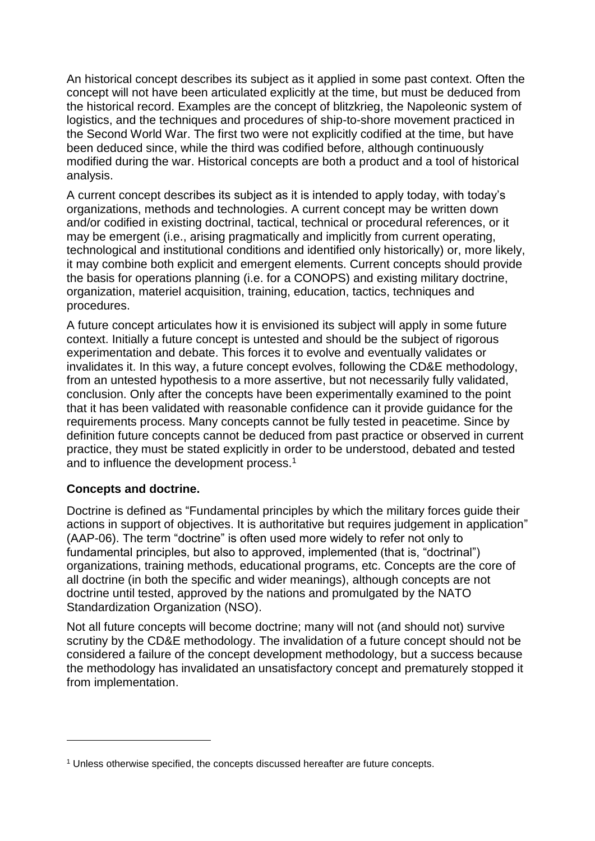An historical concept describes its subject as it applied in some past context. Often the concept will not have been articulated explicitly at the time, but must be deduced from the historical record. Examples are the concept of blitzkrieg, the Napoleonic system of logistics, and the techniques and procedures of ship-to-shore movement practiced in the Second World War. The first two were not explicitly codified at the time, but have been deduced since, while the third was codified before, although continuously modified during the war. Historical concepts are both a product and a tool of historical analysis.

A current concept describes its subject as it is intended to apply today, with today's organizations, methods and technologies. A current concept may be written down and/or codified in existing doctrinal, tactical, technical or procedural references, or it may be emergent (i.e., arising pragmatically and implicitly from current operating, technological and institutional conditions and identified only historically) or, more likely, it may combine both explicit and emergent elements. Current concepts should provide the basis for operations planning (i.e. for a CONOPS) and existing military doctrine, organization, materiel acquisition, training, education, tactics, techniques and procedures.

A future concept articulates how it is envisioned its subject will apply in some future context. Initially a future concept is untested and should be the subject of rigorous experimentation and debate. This forces it to evolve and eventually validates or invalidates it. In this way, a future concept evolves, following the CD&E methodology, from an untested hypothesis to a more assertive, but not necessarily fully validated, conclusion. Only after the concepts have been experimentally examined to the point that it has been validated with reasonable confidence can it provide guidance for the requirements process. Many concepts cannot be fully tested in peacetime. Since by definition future concepts cannot be deduced from past practice or observed in current practice, they must be stated explicitly in order to be understood, debated and tested and to influence the development process.<sup>1</sup>

#### **Concepts and doctrine.**

1

Doctrine is defined as "Fundamental principles by which the military forces guide their actions in support of objectives. It is authoritative but requires judgement in application" (AAP-06). The term "doctrine" is often used more widely to refer not only to fundamental principles, but also to approved, implemented (that is, "doctrinal") organizations, training methods, educational programs, etc. Concepts are the core of all doctrine (in both the specific and wider meanings), although concepts are not doctrine until tested, approved by the nations and promulgated by the NATO Standardization Organization (NSO).

Not all future concepts will become doctrine; many will not (and should not) survive scrutiny by the CD&E methodology. The invalidation of a future concept should not be considered a failure of the concept development methodology, but a success because the methodology has invalidated an unsatisfactory concept and prematurely stopped it from implementation.

<sup>1</sup> Unless otherwise specified, the concepts discussed hereafter are future concepts.